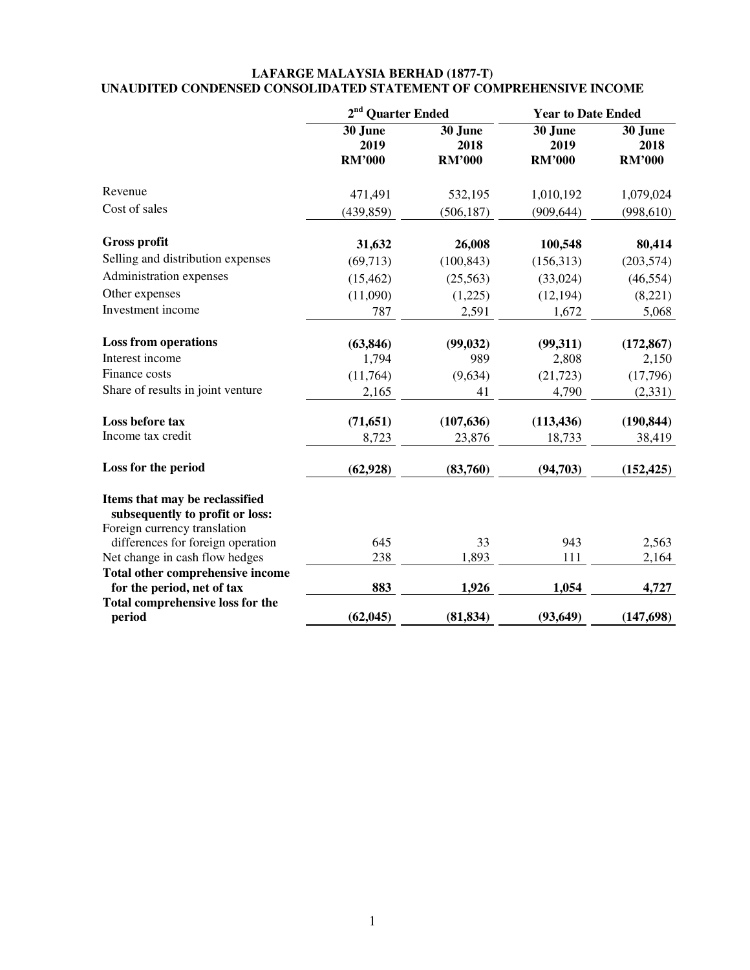## **LAFARGE MALAYSIA BERHAD (1877-T) UNAUDITED CONDENSED CONSOLIDATED STATEMENT OF COMPREHENSIVE INCOME**

|                                                                       | 2 <sup>nd</sup> Quarter Ended    |                                  | <b>Year to Date Ended</b>        |                                  |  |
|-----------------------------------------------------------------------|----------------------------------|----------------------------------|----------------------------------|----------------------------------|--|
|                                                                       | 30 June<br>2019<br><b>RM'000</b> | 30 June<br>2018<br><b>RM'000</b> | 30 June<br>2019<br><b>RM'000</b> | 30 June<br>2018<br><b>RM'000</b> |  |
| Revenue                                                               | 471,491                          | 532,195                          | 1,010,192                        | 1,079,024                        |  |
| Cost of sales                                                         | (439, 859)                       | (506, 187)                       | (909, 644)                       | (998, 610)                       |  |
| <b>Gross profit</b>                                                   | 31,632                           | 26,008                           | 100,548                          | 80,414                           |  |
| Selling and distribution expenses                                     | (69, 713)                        | (100, 843)                       | (156, 313)                       | (203, 574)                       |  |
| Administration expenses                                               | (15, 462)                        | (25, 563)                        | (33,024)                         | (46, 554)                        |  |
| Other expenses                                                        | (11,090)                         | (1,225)                          | (12, 194)                        | (8,221)                          |  |
| Investment income                                                     | 787                              | 2,591                            | 1,672                            | 5,068                            |  |
| <b>Loss from operations</b>                                           | (63, 846)                        | (99, 032)                        | (99,311)                         | (172, 867)                       |  |
| Interest income                                                       | 1,794                            | 989                              | 2,808                            | 2,150                            |  |
| Finance costs                                                         | (11,764)                         | (9,634)                          | (21, 723)                        | (17,796)                         |  |
| Share of results in joint venture                                     | 2,165                            | 41                               | 4,790                            | (2, 331)                         |  |
| Loss before tax                                                       | (71, 651)                        | (107, 636)                       | (113, 436)                       | (190, 844)                       |  |
| Income tax credit                                                     | 8,723                            | 23,876                           | 18,733                           | 38,419                           |  |
| Loss for the period                                                   | (62, 928)                        | (83,760)                         | (94, 703)                        | (152, 425)                       |  |
| Items that may be reclassified<br>subsequently to profit or loss:     |                                  |                                  |                                  |                                  |  |
| Foreign currency translation                                          |                                  |                                  |                                  |                                  |  |
| differences for foreign operation                                     | 645                              | 33                               | 943                              | 2,563                            |  |
| Net change in cash flow hedges                                        | 238                              | 1,893                            | 111                              | 2,164                            |  |
| Total other comprehensive income                                      | 883                              |                                  |                                  |                                  |  |
| for the period, net of tax<br><b>Total comprehensive loss for the</b> |                                  | 1,926                            | 1,054                            | 4,727                            |  |
| period                                                                | (62, 045)                        | (81, 834)                        | (93, 649)                        | (147, 698)                       |  |
|                                                                       |                                  |                                  |                                  |                                  |  |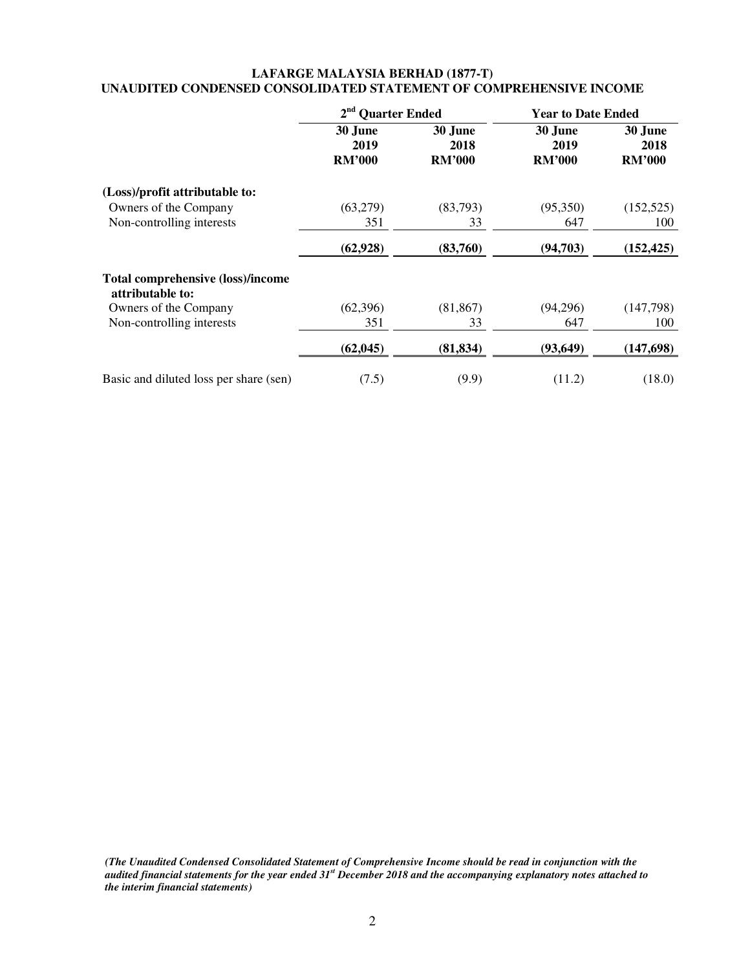## **LAFARGE MALAYSIA BERHAD (1877-T) UNAUDITED CONDENSED CONSOLIDATED STATEMENT OF COMPREHENSIVE INCOME**

|                                                              | 2 <sup>nd</sup> Quarter Ended    |                                  | <b>Year to Date Ended</b>        |                                  |
|--------------------------------------------------------------|----------------------------------|----------------------------------|----------------------------------|----------------------------------|
|                                                              | 30 June<br>2019<br><b>RM'000</b> | 30 June<br>2018<br><b>RM'000</b> | 30 June<br>2019<br><b>RM'000</b> | 30 June<br>2018<br><b>RM'000</b> |
| (Loss)/profit attributable to:                               |                                  |                                  |                                  |                                  |
| Owners of the Company                                        | (63,279)                         | (83,793)                         | (95,350)                         | (152, 525)                       |
| Non-controlling interests                                    | 351                              | 33                               | 647                              | 100                              |
|                                                              | (62, 928)                        | (83,760)                         | (94,703)                         | (152, 425)                       |
| <b>Total comprehensive (loss)/income</b><br>attributable to: |                                  |                                  |                                  |                                  |
| Owners of the Company                                        | (62, 396)                        | (81, 867)                        | (94,296)                         | (147,798)                        |
| Non-controlling interests                                    | 351                              | 33                               | 647                              | 100                              |
|                                                              | (62, 045)                        | (81, 834)                        | (93, 649)                        | (147, 698)                       |
| Basic and diluted loss per share (sen)                       | (7.5)                            | (9.9)                            | (11.2)                           | (18.0)                           |

*(The Unaudited Condensed Consolidated Statement of Comprehensive Income should be read in conjunction with the audited financial statements for the year ended 31st December 2018 and the accompanying explanatory notes attached to the interim financial statements)*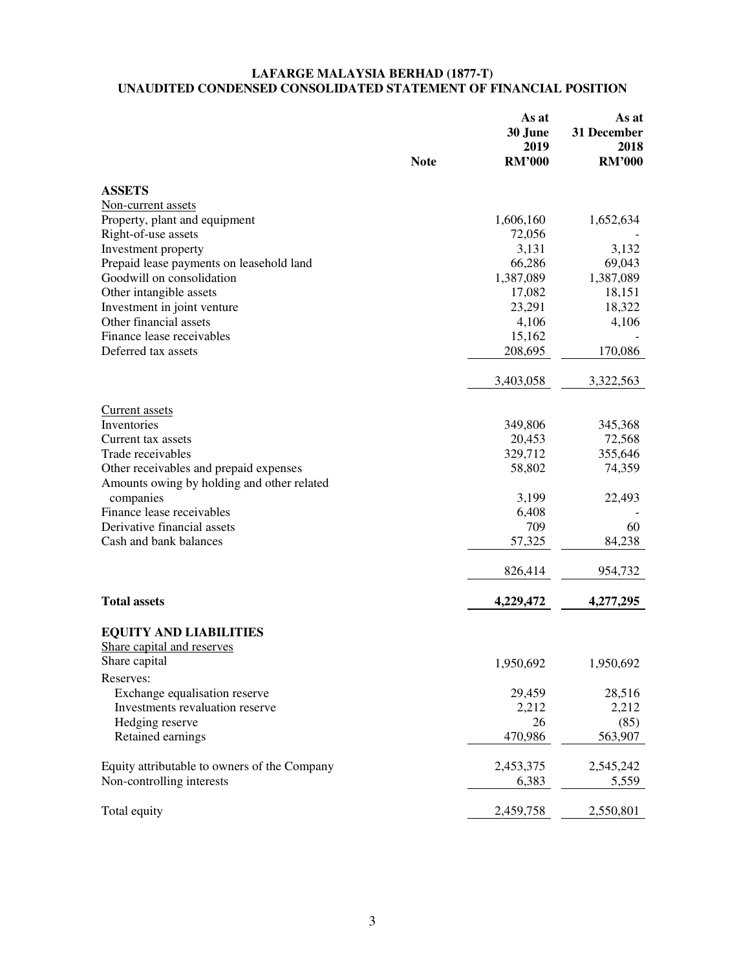#### **LAFARGE MALAYSIA BERHAD (1877-T) UNAUDITED CONDENSED CONSOLIDATED STATEMENT OF FINANCIAL POSITION**

|                                              | <b>Note</b> | As at<br>30 June<br>2019<br><b>RM'000</b> | As at<br>31 December<br>2018<br><b>RM'000</b> |
|----------------------------------------------|-------------|-------------------------------------------|-----------------------------------------------|
| <b>ASSETS</b>                                |             |                                           |                                               |
| Non-current assets                           |             |                                           |                                               |
| Property, plant and equipment                |             | 1,606,160                                 | 1,652,634                                     |
| Right-of-use assets                          |             | 72,056                                    |                                               |
| Investment property                          |             | 3,131                                     | 3,132                                         |
| Prepaid lease payments on leasehold land     |             | 66,286                                    | 69,043                                        |
| Goodwill on consolidation                    |             | 1,387,089                                 | 1,387,089                                     |
| Other intangible assets                      |             | 17,082                                    | 18,151                                        |
| Investment in joint venture                  |             | 23,291                                    | 18,322                                        |
| Other financial assets                       |             | 4,106                                     | 4,106                                         |
| Finance lease receivables                    |             | 15,162                                    |                                               |
| Deferred tax assets                          |             | 208,695                                   | 170,086                                       |
|                                              |             | 3,403,058                                 | 3,322,563                                     |
|                                              |             |                                           |                                               |
| Current assets                               |             |                                           |                                               |
| Inventories                                  |             | 349,806                                   | 345,368                                       |
| Current tax assets                           |             | 20,453                                    | 72,568                                        |
| Trade receivables                            |             | 329,712                                   | 355,646                                       |
| Other receivables and prepaid expenses       |             | 58,802                                    | 74,359                                        |
| Amounts owing by holding and other related   |             |                                           |                                               |
| companies                                    |             | 3,199                                     | 22,493                                        |
| Finance lease receivables                    |             | 6,408                                     |                                               |
| Derivative financial assets                  |             | 709                                       | 60                                            |
| Cash and bank balances                       |             | 57,325                                    | 84,238                                        |
|                                              |             | 826,414                                   | 954,732                                       |
| <b>Total assets</b>                          |             | 4,229,472                                 | 4,277,295                                     |
| <b>EQUITY AND LIABILITIES</b>                |             |                                           |                                               |
| Share capital and reserves                   |             |                                           |                                               |
| Share capital                                |             | 1,950,692                                 | 1,950,692                                     |
| Reserves:                                    |             |                                           |                                               |
| Exchange equalisation reserve                |             | 29,459                                    | 28,516                                        |
| Investments revaluation reserve              |             | 2,212                                     | 2,212                                         |
| Hedging reserve                              |             | 26                                        | (85)                                          |
| Retained earnings                            |             | 470,986                                   | 563,907                                       |
|                                              |             |                                           |                                               |
| Equity attributable to owners of the Company |             | 2,453,375                                 | 2,545,242                                     |
| Non-controlling interests                    |             | 6,383                                     | 5,559                                         |
| Total equity                                 |             | 2,459,758                                 | 2,550,801                                     |
|                                              |             |                                           |                                               |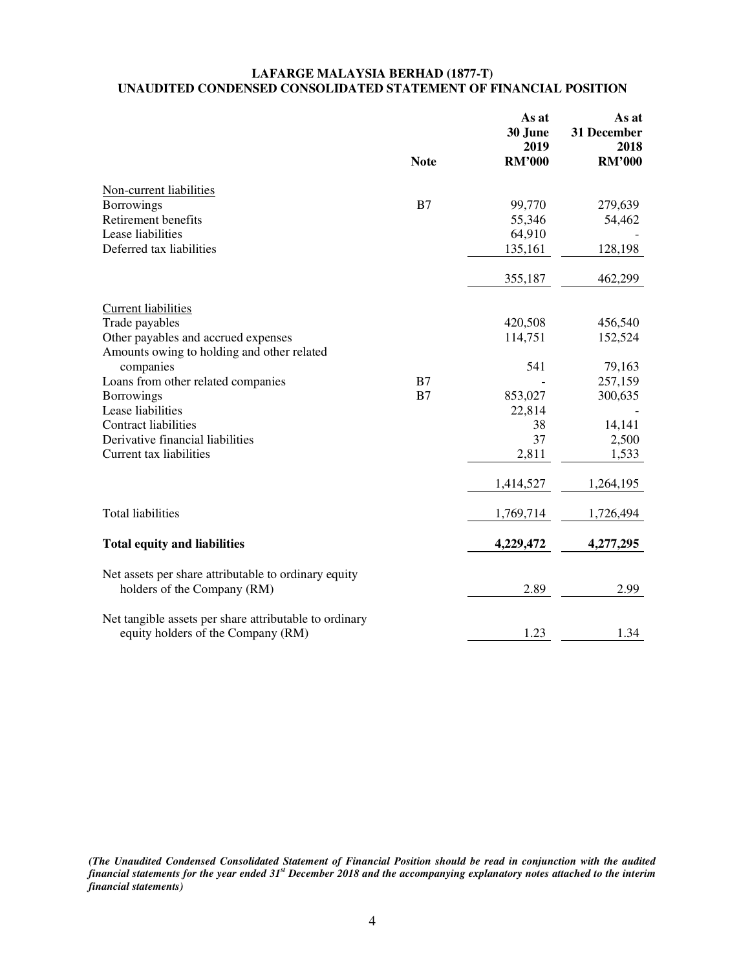## **LAFARGE MALAYSIA BERHAD (1877-T) UNAUDITED CONDENSED CONSOLIDATED STATEMENT OF FINANCIAL POSITION**

|                                                        | <b>Note</b> | As at<br>30 June<br>2019<br><b>RM'000</b> | As at<br>31 December<br>2018<br><b>RM'000</b> |
|--------------------------------------------------------|-------------|-------------------------------------------|-----------------------------------------------|
|                                                        |             |                                           |                                               |
| Non-current liabilities                                |             |                                           |                                               |
| <b>Borrowings</b>                                      | B7          | 99,770                                    | 279,639                                       |
| Retirement benefits                                    |             | 55,346                                    | 54,462                                        |
| Lease liabilities                                      |             | 64,910                                    |                                               |
| Deferred tax liabilities                               |             | 135,161                                   | 128,198                                       |
|                                                        |             | 355,187                                   | 462,299                                       |
| <b>Current liabilities</b>                             |             |                                           |                                               |
| Trade payables                                         |             | 420,508                                   | 456,540                                       |
| Other payables and accrued expenses                    |             | 114,751                                   | 152,524                                       |
| Amounts owing to holding and other related             |             |                                           |                                               |
| companies                                              |             | 541                                       | 79,163                                        |
| Loans from other related companies                     | B7          |                                           | 257,159                                       |
| <b>Borrowings</b>                                      | B7          | 853,027                                   | 300,635                                       |
| Lease liabilities                                      |             | 22,814                                    |                                               |
| <b>Contract liabilities</b>                            |             | 38                                        | 14,141                                        |
| Derivative financial liabilities                       |             | 37                                        | 2,500                                         |
| Current tax liabilities                                |             | 2,811                                     | 1,533                                         |
|                                                        |             | 1,414,527                                 | 1,264,195                                     |
| <b>Total liabilities</b>                               |             | 1,769,714                                 | 1,726,494                                     |
|                                                        |             |                                           |                                               |
| <b>Total equity and liabilities</b>                    |             | 4,229,472                                 | 4,277,295                                     |
| Net assets per share attributable to ordinary equity   |             |                                           |                                               |
| holders of the Company (RM)                            |             | 2.89                                      | 2.99                                          |
| Net tangible assets per share attributable to ordinary |             |                                           |                                               |
| equity holders of the Company (RM)                     |             | 1.23                                      | 1.34                                          |

*(The Unaudited Condensed Consolidated Statement of Financial Position should be read in conjunction with the audited financial statements for the year ended 31st December 2018 and the accompanying explanatory notes attached to the interim financial statements)*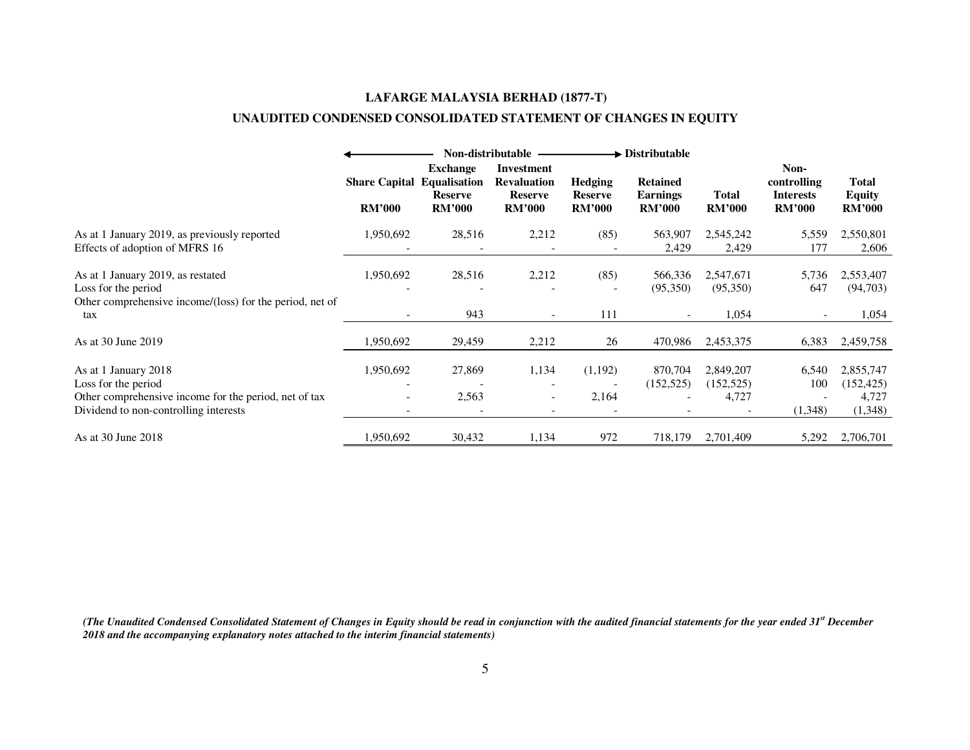# **LAFARGE MALAYSIA BERHAD (1877-T)**

# **UNAUDITED CONDENSED CONSOLIDATED STATEMENT OF CHANGES IN EQUITY**

|                                                                                                                      |                                       | Non-distributable                                                         |                                                                            |                                                   | $\blacktriangleright$ Distributable                 |                                  |                                                          |                                                |
|----------------------------------------------------------------------------------------------------------------------|---------------------------------------|---------------------------------------------------------------------------|----------------------------------------------------------------------------|---------------------------------------------------|-----------------------------------------------------|----------------------------------|----------------------------------------------------------|------------------------------------------------|
|                                                                                                                      | <b>Share Capital</b><br><b>RM'000</b> | <b>Exchange</b><br><b>Equalisation</b><br><b>Reserve</b><br><b>RM'000</b> | <b>Investment</b><br><b>Revaluation</b><br><b>Reserve</b><br><b>RM'000</b> | <b>Hedging</b><br><b>Reserve</b><br><b>RM'000</b> | <b>Retained</b><br><b>Earnings</b><br><b>RM'000</b> | <b>Total</b><br><b>RM'000</b>    | Non-<br>controlling<br><b>Interests</b><br><b>RM'000</b> | <b>Total</b><br><b>Equity</b><br><b>RM'000</b> |
| As at 1 January 2019, as previously reported<br>Effects of adoption of MFRS 16                                       | 1,950,692                             | 28,516                                                                    | 2,212                                                                      | (85)                                              | 563,907<br>2,429                                    | 2,545,242<br>2,429               | 5,559<br>177                                             | 2,550,801<br>2,606                             |
| As at 1 January 2019, as restated<br>Loss for the period<br>Other comprehensive income/(loss) for the period, net of | 1,950,692                             | 28,516                                                                    | 2,212                                                                      | (85)                                              | 566,336<br>(95,350)                                 | 2,547,671<br>(95,350)            | 5,736<br>647                                             | 2,553,407<br>(94, 703)                         |
| tax                                                                                                                  |                                       | 943                                                                       |                                                                            | 111                                               | $\overline{\phantom{a}}$                            | 1,054                            |                                                          | 1,054                                          |
| As at 30 June 2019                                                                                                   | 1,950,692                             | 29,459                                                                    | 2,212                                                                      | 26                                                | 470,986                                             | 2,453,375                        | 6,383                                                    | 2,459,758                                      |
| As at 1 January 2018<br>Loss for the period<br>Other comprehensive income for the period, net of tax                 | 1,950,692                             | 27,869<br>2,563                                                           | 1,134                                                                      | (1,192)<br>2,164                                  | 870,704<br>(152, 525)                               | 2,849,207<br>(152, 525)<br>4,727 | 6,540<br>100                                             | 2,855,747<br>(152, 425)                        |
| Dividend to non-controlling interests                                                                                |                                       |                                                                           |                                                                            |                                                   |                                                     |                                  | (1,348)                                                  | 4,727<br>(1,348)                               |
| As at 30 June 2018                                                                                                   | 1,950,692                             | 30,432                                                                    | 1,134                                                                      | 972                                               | 718,179                                             | 2,701,409                        | 5,292                                                    | 2,706,701                                      |

*(The Unaudited Condensed Consolidated Statement of Changes in Equity should be read in conjunction with the audited financial statements for the year ended 31st December 2018 and the accompanying explanatory notes attached to the interim financial statements)*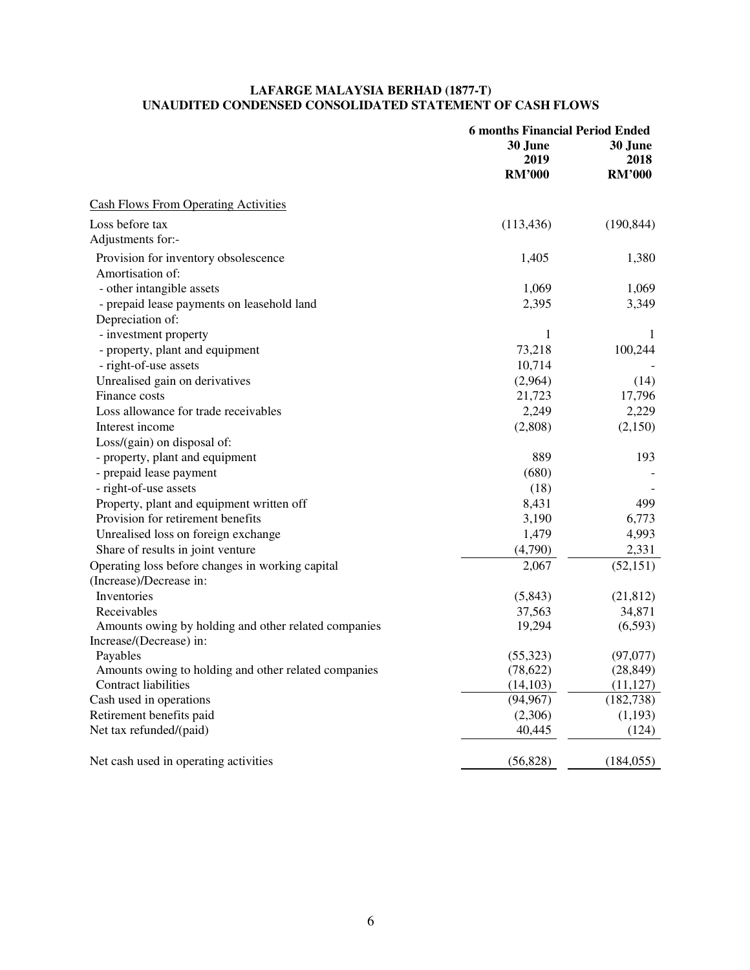## **LAFARGE MALAYSIA BERHAD (1877-T) UNAUDITED CONDENSED CONSOLIDATED STATEMENT OF CASH FLOWS**

|                                                      | <b>6 months Financial Period Ended</b> |               |  |
|------------------------------------------------------|----------------------------------------|---------------|--|
|                                                      | 30 June<br>30 June                     |               |  |
|                                                      | 2019                                   | 2018          |  |
|                                                      | <b>RM'000</b>                          | <b>RM'000</b> |  |
| <b>Cash Flows From Operating Activities</b>          |                                        |               |  |
| Loss before tax                                      | (113, 436)                             | (190, 844)    |  |
| Adjustments for:-                                    |                                        |               |  |
| Provision for inventory obsolescence                 | 1,405                                  | 1,380         |  |
| Amortisation of:                                     |                                        |               |  |
| - other intangible assets                            | 1,069                                  | 1,069         |  |
| - prepaid lease payments on leasehold land           | 2,395                                  | 3,349         |  |
| Depreciation of:                                     |                                        |               |  |
| - investment property                                | 1                                      | 1             |  |
| - property, plant and equipment                      | 73,218                                 | 100,244       |  |
| - right-of-use assets                                | 10,714                                 |               |  |
| Unrealised gain on derivatives                       | (2,964)                                | (14)          |  |
| Finance costs                                        | 21,723                                 | 17,796        |  |
| Loss allowance for trade receivables                 | 2,249                                  | 2,229         |  |
| Interest income                                      | (2,808)                                | (2,150)       |  |
| Loss/(gain) on disposal of:                          |                                        |               |  |
| - property, plant and equipment                      | 889                                    | 193           |  |
| - prepaid lease payment                              | (680)                                  |               |  |
| - right-of-use assets                                | (18)                                   |               |  |
| Property, plant and equipment written off            | 8,431                                  | 499           |  |
| Provision for retirement benefits                    | 3,190                                  | 6,773         |  |
| Unrealised loss on foreign exchange                  | 1,479                                  | 4,993         |  |
| Share of results in joint venture                    | (4,790)                                | 2,331         |  |
| Operating loss before changes in working capital     | 2,067                                  | (52, 151)     |  |
| (Increase)/Decrease in:                              |                                        |               |  |
| Inventories                                          | (5,843)                                | (21, 812)     |  |
| Receivables                                          | 37,563                                 | 34,871        |  |
| Amounts owing by holding and other related companies | 19,294                                 | (6,593)       |  |
| Increase/(Decrease) in:                              |                                        |               |  |
| Payables                                             | (55, 323)                              | (97,077)      |  |
| Amounts owing to holding and other related companies | (78, 622)                              | (28, 849)     |  |
| Contract liabilities                                 | (14, 103)                              | (11, 127)     |  |
| Cash used in operations                              | (94, 967)                              | (182, 738)    |  |
| Retirement benefits paid                             | (2,306)                                | (1,193)       |  |
| Net tax refunded/(paid)                              | 40,445                                 | (124)         |  |
| Net cash used in operating activities                | (56, 828)                              | (184, 055)    |  |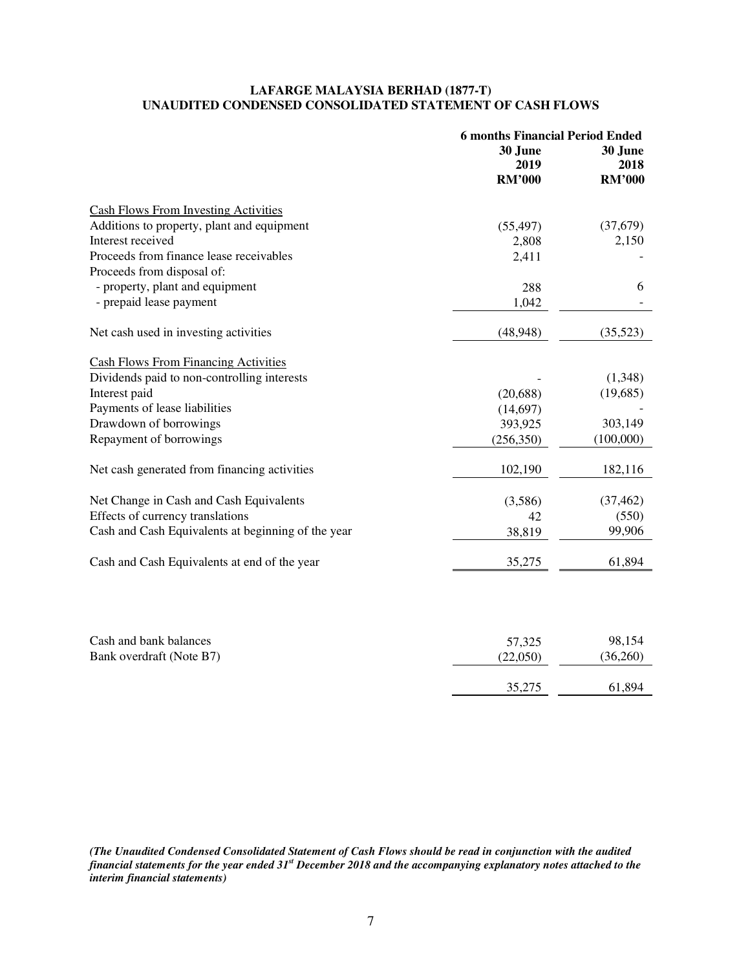## **LAFARGE MALAYSIA BERHAD (1877-T) UNAUDITED CONDENSED CONSOLIDATED STATEMENT OF CASH FLOWS**

|                                                    | <b>6 months Financial Period Ended</b> |               |  |
|----------------------------------------------------|----------------------------------------|---------------|--|
|                                                    | 30 June<br>30 June                     |               |  |
|                                                    | 2019                                   | 2018          |  |
|                                                    | <b>RM'000</b>                          | <b>RM'000</b> |  |
| <b>Cash Flows From Investing Activities</b>        |                                        |               |  |
| Additions to property, plant and equipment         | (55, 497)                              | (37,679)      |  |
| Interest received                                  | 2,808                                  | 2,150         |  |
| Proceeds from finance lease receivables            | 2,411                                  |               |  |
| Proceeds from disposal of:                         |                                        |               |  |
| - property, plant and equipment                    | 288                                    | 6             |  |
| - prepaid lease payment                            | 1,042                                  |               |  |
| Net cash used in investing activities              | (48, 948)                              | (35,523)      |  |
| <b>Cash Flows From Financing Activities</b>        |                                        |               |  |
| Dividends paid to non-controlling interests        |                                        | (1,348)       |  |
| Interest paid                                      | (20, 688)                              | (19, 685)     |  |
| Payments of lease liabilities                      | (14,697)                               |               |  |
| Drawdown of borrowings                             | 393,925                                | 303,149       |  |
| Repayment of borrowings                            | (256, 350)                             | (100,000)     |  |
| Net cash generated from financing activities       | 102,190                                | 182,116       |  |
| Net Change in Cash and Cash Equivalents            | (3,586)                                | (37, 462)     |  |
| Effects of currency translations                   | 42                                     | (550)         |  |
| Cash and Cash Equivalents at beginning of the year | 38,819                                 | 99,906        |  |
| Cash and Cash Equivalents at end of the year       | 35,275                                 | 61,894        |  |
|                                                    |                                        |               |  |
| Cash and bank balances                             | 57,325                                 | 98,154        |  |
| Bank overdraft (Note B7)                           | (22,050)                               | (36,260)      |  |
|                                                    | 35,275                                 | 61,894        |  |

*(The Unaudited Condensed Consolidated Statement of Cash Flows should be read in conjunction with the audited financial statements for the year ended 31st December 2018 and the accompanying explanatory notes attached to the interim financial statements)*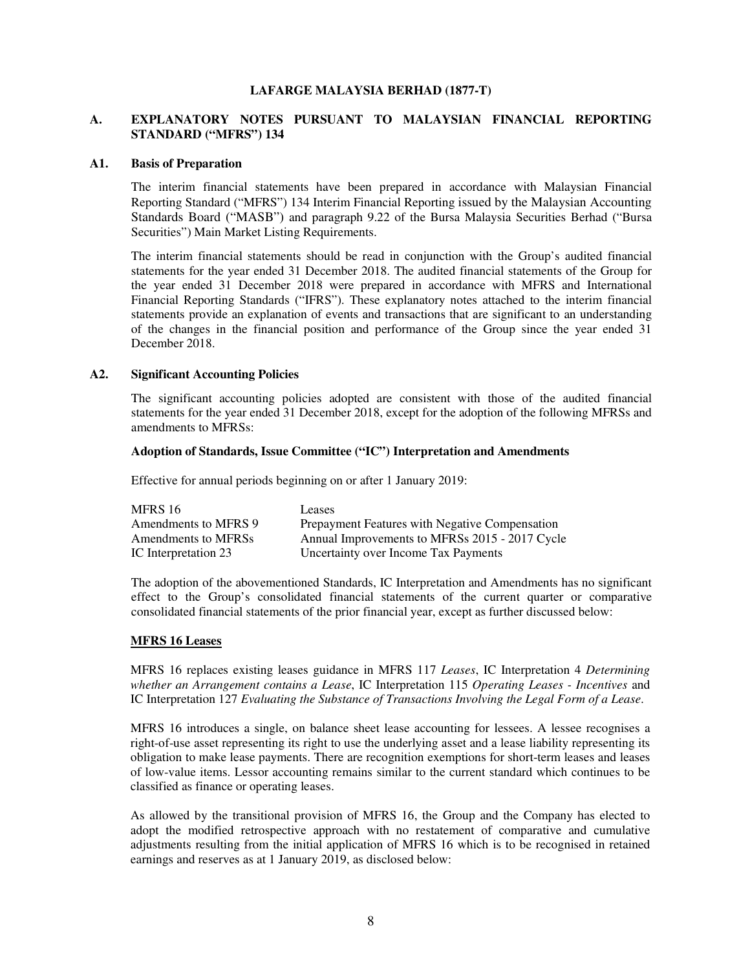## **LAFARGE MALAYSIA BERHAD (1877-T)**

## **A. EXPLANATORY NOTES PURSUANT TO MALAYSIAN FINANCIAL REPORTING STANDARD ("MFRS") 134**

#### **A1. Basis of Preparation**

The interim financial statements have been prepared in accordance with Malaysian Financial Reporting Standard ("MFRS") 134 Interim Financial Reporting issued by the Malaysian Accounting Standards Board ("MASB") and paragraph 9.22 of the Bursa Malaysia Securities Berhad ("Bursa Securities") Main Market Listing Requirements.

The interim financial statements should be read in conjunction with the Group's audited financial statements for the year ended 31 December 2018. The audited financial statements of the Group for the year ended 31 December 2018 were prepared in accordance with MFRS and International Financial Reporting Standards ("IFRS"). These explanatory notes attached to the interim financial statements provide an explanation of events and transactions that are significant to an understanding of the changes in the financial position and performance of the Group since the year ended 31 December 2018.

#### **A2. Significant Accounting Policies**

The significant accounting policies adopted are consistent with those of the audited financial statements for the year ended 31 December 2018, except for the adoption of the following MFRSs and amendments to MFRSs:

## **Adoption of Standards, Issue Committee ("IC") Interpretation and Amendments**

Effective for annual periods beginning on or after 1 January 2019:

| MFRS 16              | Leases                                         |
|----------------------|------------------------------------------------|
| Amendments to MFRS 9 | Prepayment Features with Negative Compensation |
| Amendments to MFRSs  | Annual Improvements to MFRSs 2015 - 2017 Cycle |
| IC Interpretation 23 | Uncertainty over Income Tax Payments           |

The adoption of the abovementioned Standards, IC Interpretation and Amendments has no significant effect to the Group's consolidated financial statements of the current quarter or comparative consolidated financial statements of the prior financial year, except as further discussed below:

#### **MFRS 16 Leases**

MFRS 16 replaces existing leases guidance in MFRS 117 *Leases*, IC Interpretation 4 *Determining whether an Arrangement contains a Lease*, IC Interpretation 115 *Operating Leases - Incentives* and IC Interpretation 127 *Evaluating the Substance of Transactions Involving the Legal Form of a Lease*.

MFRS 16 introduces a single, on balance sheet lease accounting for lessees. A lessee recognises a right-of-use asset representing its right to use the underlying asset and a lease liability representing its obligation to make lease payments. There are recognition exemptions for short-term leases and leases of low-value items. Lessor accounting remains similar to the current standard which continues to be classified as finance or operating leases.

As allowed by the transitional provision of MFRS 16, the Group and the Company has elected to adopt the modified retrospective approach with no restatement of comparative and cumulative adjustments resulting from the initial application of MFRS 16 which is to be recognised in retained earnings and reserves as at 1 January 2019, as disclosed below: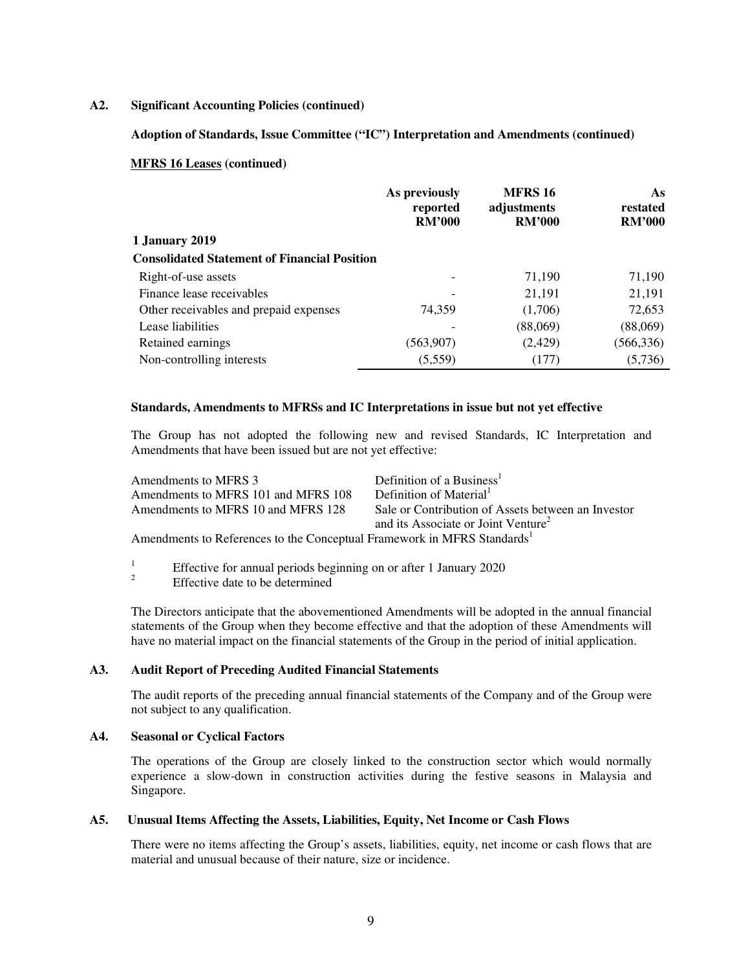#### **A2. Significant Accounting Policies (continued)**

## **Adoption of Standards, Issue Committee ("IC") Interpretation and Amendments (continued)**

#### **MFRS 16 Leases (continued)**

|                                                     | As previously<br>reported<br><b>RM'000</b> | <b>MFRS 16</b><br>adjustments<br><b>RM'000</b> | As<br>restated<br><b>RM'000</b> |
|-----------------------------------------------------|--------------------------------------------|------------------------------------------------|---------------------------------|
| 1 January 2019                                      |                                            |                                                |                                 |
| <b>Consolidated Statement of Financial Position</b> |                                            |                                                |                                 |
| Right-of-use assets                                 |                                            | 71,190                                         | 71,190                          |
| Finance lease receivables                           |                                            | 21,191                                         | 21,191                          |
| Other receivables and prepaid expenses              | 74.359                                     | (1,706)                                        | 72,653                          |
| Lease liabilities                                   |                                            | (88,069)                                       | (88,069)                        |
| Retained earnings                                   | (563,907)                                  | (2,429)                                        | (566, 336)                      |
| Non-controlling interests                           | (5,559)                                    | (177)                                          | (5,736)                         |

#### **Standards, Amendments to MFRSs and IC Interpretations in issue but not yet effective**

The Group has not adopted the following new and revised Standards, IC Interpretation and Amendments that have been issued but are not yet effective:

| Amendments to MFRS 3                                                                | Definition of a Business <sup>1</sup>              |
|-------------------------------------------------------------------------------------|----------------------------------------------------|
| Amendments to MFRS 101 and MFRS 108                                                 | Definition of Material <sup>1</sup>                |
| Amendments to MFRS 10 and MFRS 128                                                  | Sale or Contribution of Assets between an Investor |
|                                                                                     | and its Associate or Joint Venture <sup>2</sup>    |
| Amendments to References to the Conceptual Framework in MFRS Standards <sup>1</sup> |                                                    |

1 Effective for annual periods beginning on or after 1 January 2020 Effective date to be determined

The Directors anticipate that the abovementioned Amendments will be adopted in the annual financial statements of the Group when they become effective and that the adoption of these Amendments will have no material impact on the financial statements of the Group in the period of initial application.

## **A3. Audit Report of Preceding Audited Financial Statements**

The audit reports of the preceding annual financial statements of the Company and of the Group were not subject to any qualification.

## **A4. Seasonal or Cyclical Factors**

The operations of the Group are closely linked to the construction sector which would normally experience a slow-down in construction activities during the festive seasons in Malaysia and Singapore.

#### **A5. Unusual Items Affecting the Assets, Liabilities, Equity, Net Income or Cash Flows**

There were no items affecting the Group's assets, liabilities, equity, net income or cash flows that are material and unusual because of their nature, size or incidence.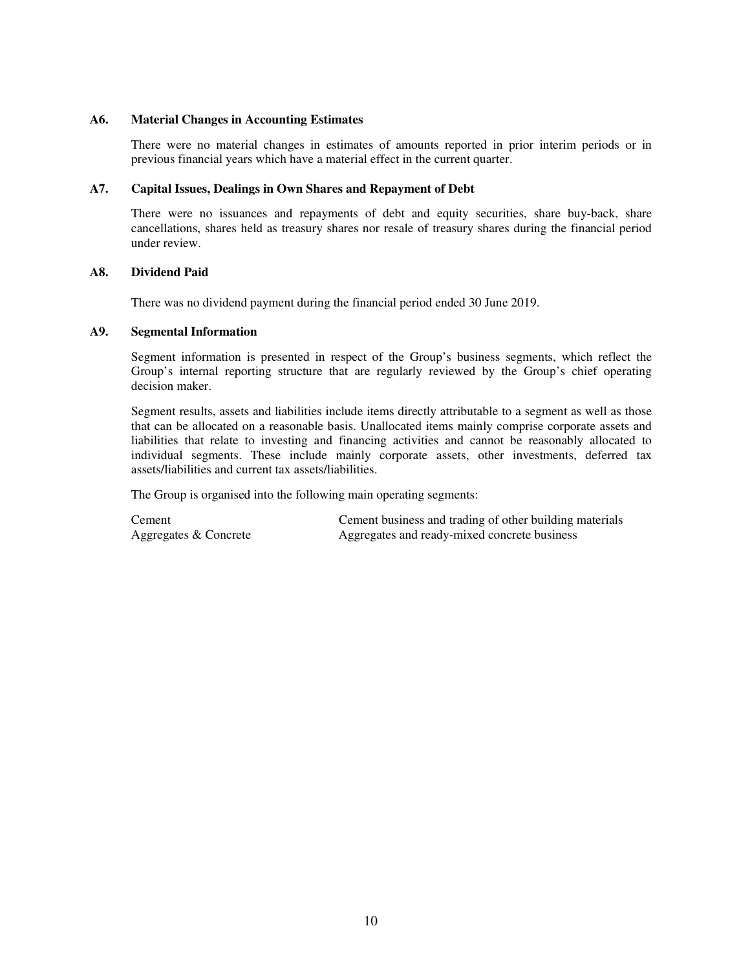## **A6. Material Changes in Accounting Estimates**

There were no material changes in estimates of amounts reported in prior interim periods or in previous financial years which have a material effect in the current quarter.

## **A7. Capital Issues, Dealings in Own Shares and Repayment of Debt**

There were no issuances and repayments of debt and equity securities, share buy-back, share cancellations, shares held as treasury shares nor resale of treasury shares during the financial period under review.

#### **A8. Dividend Paid**

There was no dividend payment during the financial period ended 30 June 2019.

## **A9. Segmental Information**

Segment information is presented in respect of the Group's business segments, which reflect the Group's internal reporting structure that are regularly reviewed by the Group's chief operating decision maker.

Segment results, assets and liabilities include items directly attributable to a segment as well as those that can be allocated on a reasonable basis. Unallocated items mainly comprise corporate assets and liabilities that relate to investing and financing activities and cannot be reasonably allocated to individual segments. These include mainly corporate assets, other investments, deferred tax assets/liabilities and current tax assets/liabilities.

The Group is organised into the following main operating segments:

Cement Cement business and trading of other building materials Aggregates & Concrete **Aggregates and ready-mixed concrete business**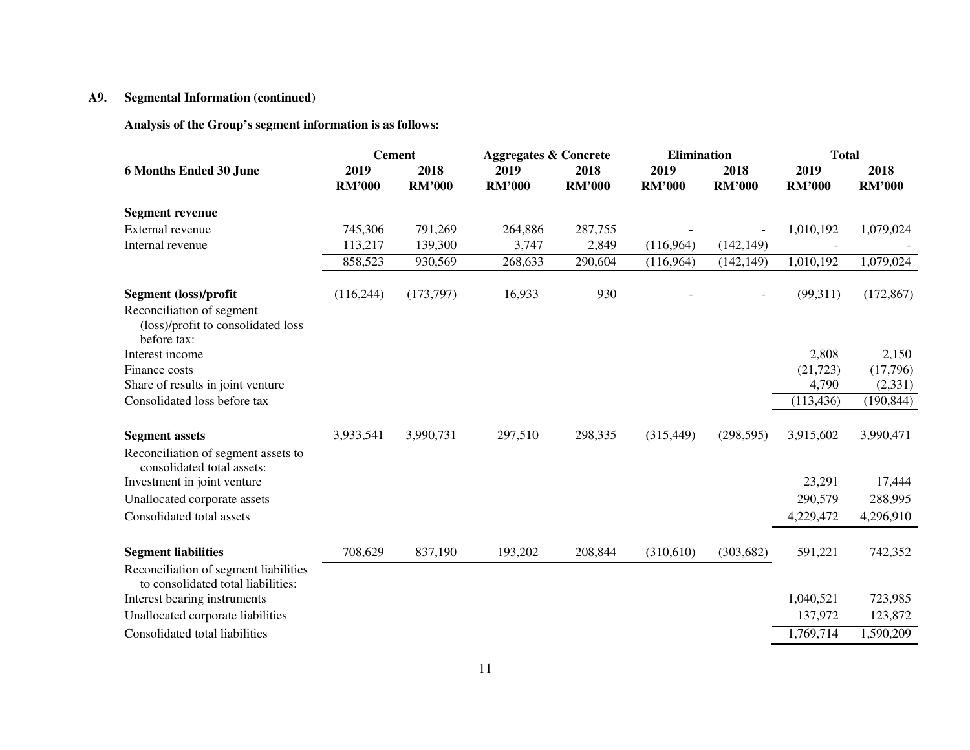# **A9. Segmental Information (continued)**

**Analysis of the Group's segment information is as follows:** 

|                                                                             | <b>Cement</b> |               | <b>Aggregates &amp; Concrete</b> |               | <b>Elimination</b> |               | <b>Total</b>  |               |
|-----------------------------------------------------------------------------|---------------|---------------|----------------------------------|---------------|--------------------|---------------|---------------|---------------|
| <b>6 Months Ended 30 June</b>                                               | 2019          | 2018          | 2019                             | 2018          | 2019               | 2018          | 2019          | 2018          |
|                                                                             | <b>RM'000</b> | <b>RM'000</b> | <b>RM'000</b>                    | <b>RM'000</b> | <b>RM'000</b>      | <b>RM'000</b> | <b>RM'000</b> | <b>RM'000</b> |
| <b>Segment revenue</b>                                                      |               |               |                                  |               |                    |               |               |               |
| External revenue                                                            | 745,306       | 791,269       | 264,886                          | 287,755       |                    |               | 1,010,192     | 1,079,024     |
| Internal revenue                                                            | 113,217       | 139,300       | 3,747                            | 2,849         | (116,964)          | (142, 149)    |               |               |
|                                                                             | 858,523       | 930,569       | 268,633                          | 290,604       | (116,964)          | (142, 149)    | 1,010,192     | 1,079,024     |
| Segment (loss)/profit                                                       | (116, 244)    | (173, 797)    | 16,933                           | 930           |                    |               | (99,311)      | (172, 867)    |
| Reconciliation of segment<br>(loss)/profit to consolidated loss             |               |               |                                  |               |                    |               |               |               |
| before tax:                                                                 |               |               |                                  |               |                    |               |               |               |
| Interest income                                                             |               |               |                                  |               |                    |               | 2,808         | 2,150         |
| Finance costs                                                               |               |               |                                  |               |                    |               | (21, 723)     | (17,796)      |
| Share of results in joint venture                                           |               |               |                                  |               |                    |               | 4,790         | (2,331)       |
| Consolidated loss before tax                                                |               |               |                                  |               |                    |               | (113, 436)    | (190, 844)    |
| <b>Segment assets</b>                                                       | 3,933,541     | 3,990,731     | 297,510                          | 298,335       | (315, 449)         | (298, 595)    | 3,915,602     | 3,990,471     |
| Reconciliation of segment assets to<br>consolidated total assets:           |               |               |                                  |               |                    |               |               |               |
| Investment in joint venture                                                 |               |               |                                  |               |                    |               | 23,291        | 17,444        |
| Unallocated corporate assets                                                |               |               |                                  |               |                    |               | 290,579       | 288,995       |
| Consolidated total assets                                                   |               |               |                                  |               |                    |               | 4,229,472     | 4,296,910     |
| <b>Segment liabilities</b>                                                  | 708,629       | 837,190       | 193,202                          | 208,844       | (310,610)          | (303, 682)    | 591,221       | 742,352       |
| Reconciliation of segment liabilities<br>to consolidated total liabilities: |               |               |                                  |               |                    |               |               |               |
| Interest bearing instruments                                                |               |               |                                  |               |                    |               | 1,040,521     | 723,985       |
| Unallocated corporate liabilities                                           |               |               |                                  |               |                    |               | 137,972       | 123,872       |
| Consolidated total liabilities                                              |               |               |                                  |               |                    |               | 1,769,714     | 1,590,209     |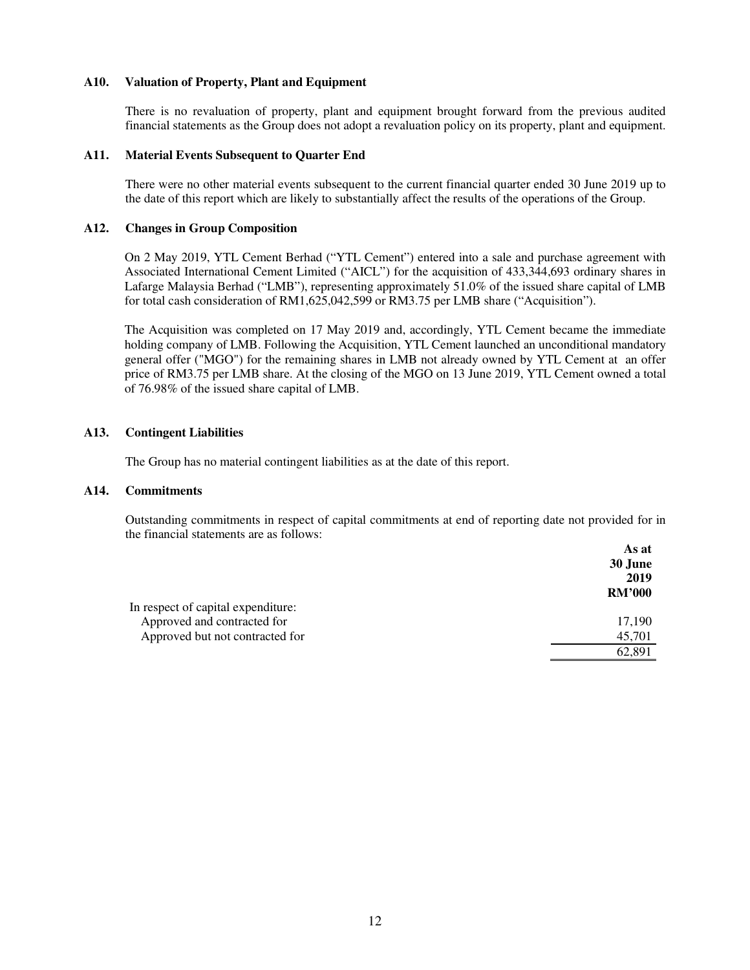## **A10. Valuation of Property, Plant and Equipment**

There is no revaluation of property, plant and equipment brought forward from the previous audited financial statements as the Group does not adopt a revaluation policy on its property, plant and equipment.

## **A11. Material Events Subsequent to Quarter End**

There were no other material events subsequent to the current financial quarter ended 30 June 2019 up to the date of this report which are likely to substantially affect the results of the operations of the Group.

#### **A12. Changes in Group Composition**

On 2 May 2019, YTL Cement Berhad ("YTL Cement") entered into a sale and purchase agreement with Associated International Cement Limited ("AICL") for the acquisition of 433,344,693 ordinary shares in Lafarge Malaysia Berhad ("LMB"), representing approximately 51.0% of the issued share capital of LMB for total cash consideration of RM1,625,042,599 or RM3.75 per LMB share ("Acquisition").

The Acquisition was completed on 17 May 2019 and, accordingly, YTL Cement became the immediate holding company of LMB. Following the Acquisition, YTL Cement launched an unconditional mandatory general offer ("MGO") for the remaining shares in LMB not already owned by YTL Cement at an offer price of RM3.75 per LMB share. At the closing of the MGO on 13 June 2019, YTL Cement owned a total of 76.98% of the issued share capital of LMB.

#### **A13. Contingent Liabilities**

The Group has no material contingent liabilities as at the date of this report.

#### **A14. Commitments**

Outstanding commitments in respect of capital commitments at end of reporting date not provided for in the financial statements are as follows:

|                                    | As at         |
|------------------------------------|---------------|
|                                    | 30 June       |
|                                    | 2019          |
|                                    | <b>RM'000</b> |
| In respect of capital expenditure: |               |
| Approved and contracted for        | 17,190        |
| Approved but not contracted for    | 45,701        |
|                                    | 62.891        |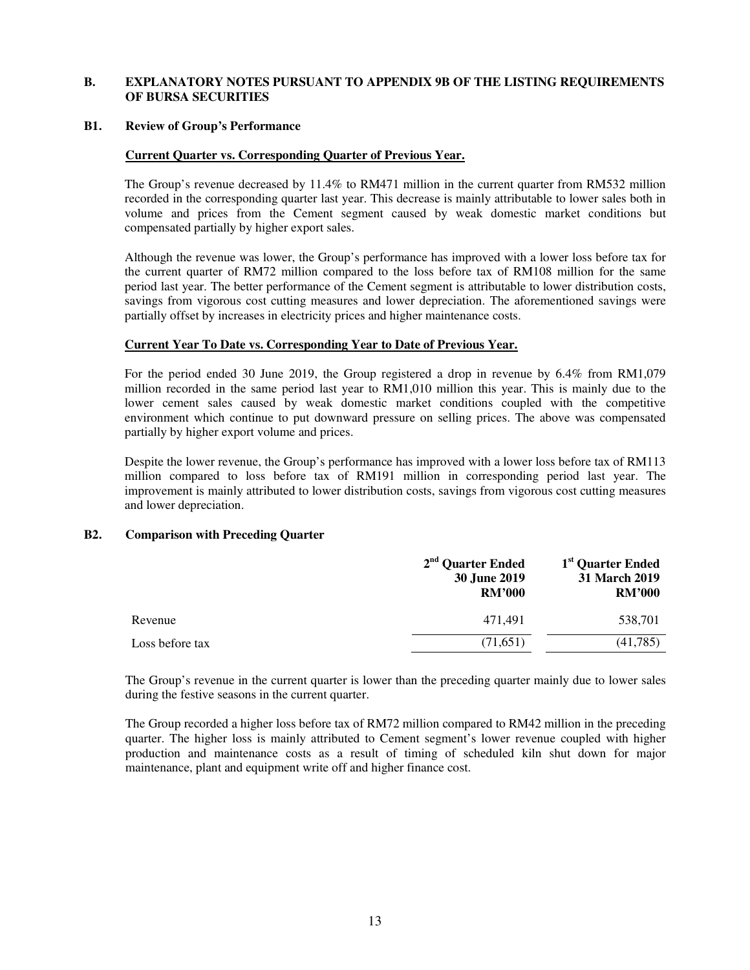## **B. EXPLANATORY NOTES PURSUANT TO APPENDIX 9B OF THE LISTING REQUIREMENTS OF BURSA SECURITIES**

#### **B1. Review of Group's Performance**

## **Current Quarter vs. Corresponding Quarter of Previous Year.**

The Group's revenue decreased by 11.4% to RM471 million in the current quarter from RM532 million recorded in the corresponding quarter last year. This decrease is mainly attributable to lower sales both in volume and prices from the Cement segment caused by weak domestic market conditions but compensated partially by higher export sales.

Although the revenue was lower, the Group's performance has improved with a lower loss before tax for the current quarter of RM72 million compared to the loss before tax of RM108 million for the same period last year. The better performance of the Cement segment is attributable to lower distribution costs, savings from vigorous cost cutting measures and lower depreciation. The aforementioned savings were partially offset by increases in electricity prices and higher maintenance costs.

## **Current Year To Date vs. Corresponding Year to Date of Previous Year.**

For the period ended 30 June 2019, the Group registered a drop in revenue by 6.4% from RM1,079 million recorded in the same period last year to RM1,010 million this year. This is mainly due to the lower cement sales caused by weak domestic market conditions coupled with the competitive environment which continue to put downward pressure on selling prices. The above was compensated partially by higher export volume and prices.

Despite the lower revenue, the Group's performance has improved with a lower loss before tax of RM113 million compared to loss before tax of RM191 million in corresponding period last year. The improvement is mainly attributed to lower distribution costs, savings from vigorous cost cutting measures and lower depreciation.

## **B2. Comparison with Preceding Quarter**

|                 | 2 <sup>nd</sup> Quarter Ended<br>30 June 2019<br><b>RM'000</b> | 1 <sup>st</sup> Quarter Ended<br>31 March 2019<br><b>RM'000</b> |
|-----------------|----------------------------------------------------------------|-----------------------------------------------------------------|
| Revenue         | 471.491                                                        | 538,701                                                         |
| Loss before tax | (71,651)                                                       | (41,785)                                                        |

The Group's revenue in the current quarter is lower than the preceding quarter mainly due to lower sales during the festive seasons in the current quarter.

The Group recorded a higher loss before tax of RM72 million compared to RM42 million in the preceding quarter. The higher loss is mainly attributed to Cement segment's lower revenue coupled with higher production and maintenance costs as a result of timing of scheduled kiln shut down for major maintenance, plant and equipment write off and higher finance cost.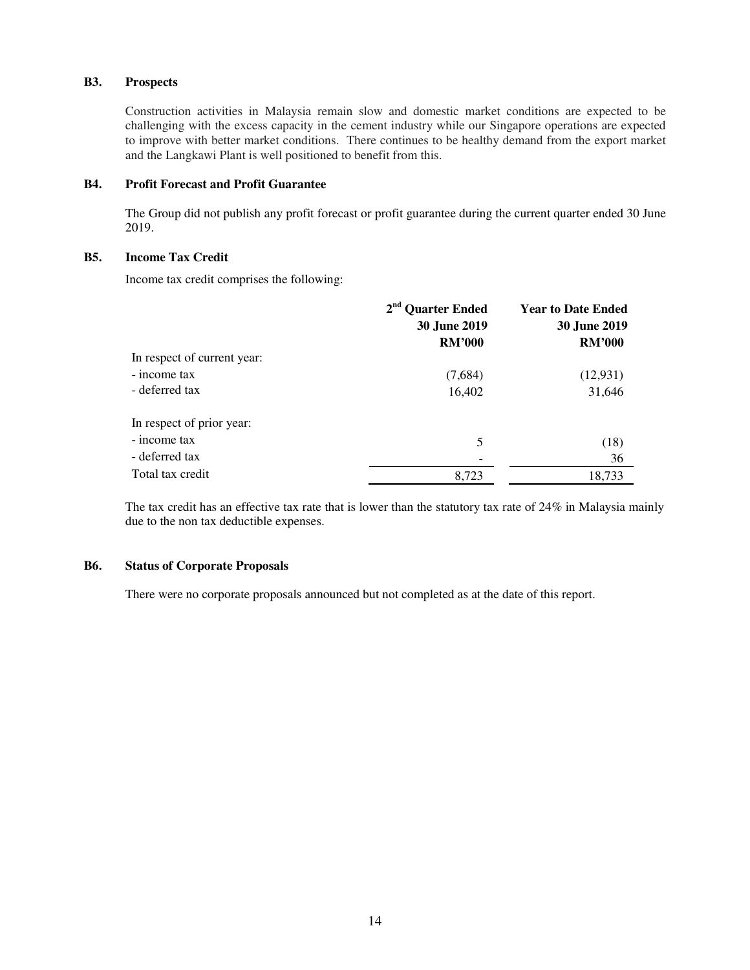## **B3. Prospects**

Construction activities in Malaysia remain slow and domestic market conditions are expected to be challenging with the excess capacity in the cement industry while our Singapore operations are expected to improve with better market conditions. There continues to be healthy demand from the export market and the Langkawi Plant is well positioned to benefit from this.

## **B4. Profit Forecast and Profit Guarantee**

The Group did not publish any profit forecast or profit guarantee during the current quarter ended 30 June 2019.

## **B5. Income Tax Credit**

Income tax credit comprises the following:

|                             | 2 <sup>nd</sup> Quarter Ended<br><b>30 June 2019</b> | <b>Year to Date Ended</b><br><b>30 June 2019</b> |  |
|-----------------------------|------------------------------------------------------|--------------------------------------------------|--|
|                             | <b>RM'000</b>                                        | <b>RM'000</b>                                    |  |
| In respect of current year: |                                                      |                                                  |  |
| - income tax                | (7,684)                                              | (12, 931)                                        |  |
| - deferred tax              | 16,402                                               | 31,646                                           |  |
| In respect of prior year:   |                                                      |                                                  |  |
| - income tax                | 5                                                    | (18)                                             |  |
| - deferred tax              |                                                      | 36                                               |  |
| Total tax credit            | 8,723                                                | 18,733                                           |  |

The tax credit has an effective tax rate that is lower than the statutory tax rate of 24% in Malaysia mainly due to the non tax deductible expenses.

## **B6. Status of Corporate Proposals**

There were no corporate proposals announced but not completed as at the date of this report.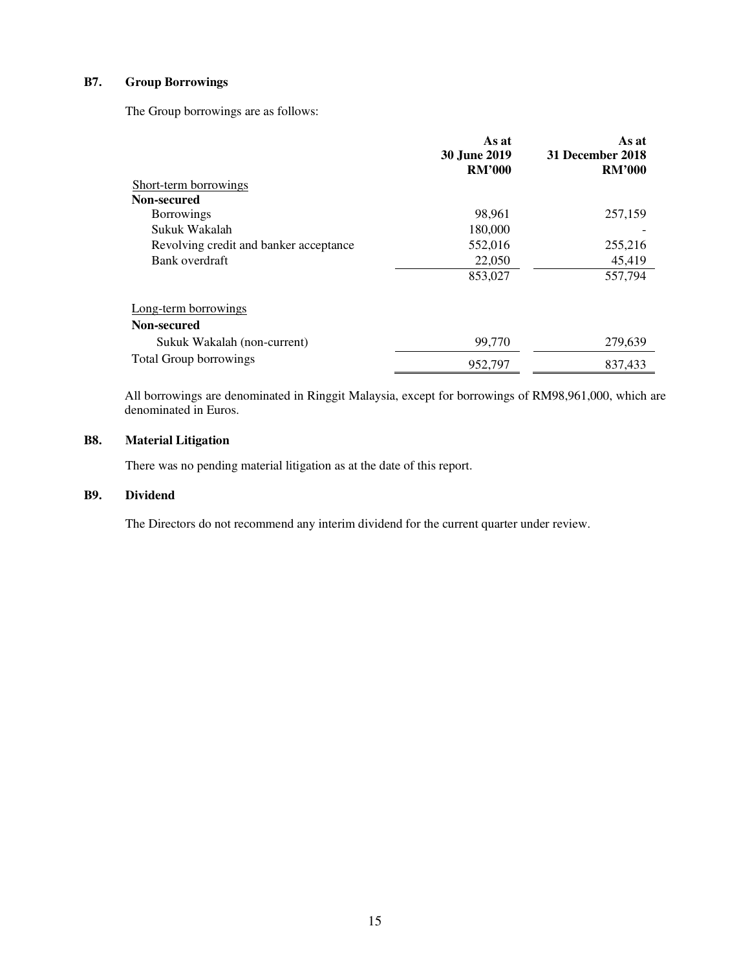# **B7. Group Borrowings**

The Group borrowings are as follows:

|                                        | As at<br><b>30 June 2019</b> | As at<br>31 December 2018 |
|----------------------------------------|------------------------------|---------------------------|
|                                        | <b>RM'000</b>                | <b>RM'000</b>             |
| Short-term borrowings                  |                              |                           |
| Non-secured                            |                              |                           |
| <b>Borrowings</b>                      | 98,961                       | 257,159                   |
| Sukuk Wakalah                          | 180,000                      |                           |
| Revolving credit and banker acceptance | 552,016                      | 255,216                   |
| Bank overdraft                         | 22,050                       | 45,419                    |
|                                        | 853,027                      | 557,794                   |
| Long-term borrowings                   |                              |                           |
| Non-secured                            |                              |                           |
| Sukuk Wakalah (non-current)            | 99,770                       | 279,639                   |
| <b>Total Group borrowings</b>          | 952,797                      | 837,433                   |

All borrowings are denominated in Ringgit Malaysia, except for borrowings of RM98,961,000, which are denominated in Euros.

# **B8. Material Litigation**

There was no pending material litigation as at the date of this report.

### **B9. Dividend**

The Directors do not recommend any interim dividend for the current quarter under review.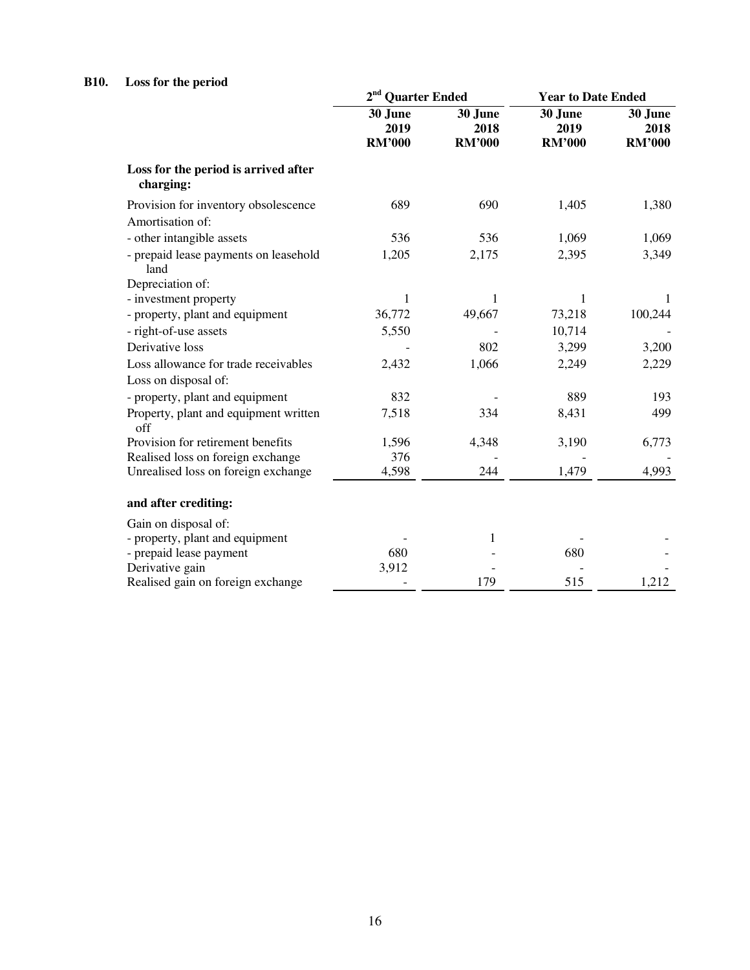# **B10. Loss for the period**

|                                                   | 2 <sup>nd</sup> Quarter Ended    |                                  | <b>Year to Date Ended</b>        |                                  |
|---------------------------------------------------|----------------------------------|----------------------------------|----------------------------------|----------------------------------|
|                                                   | 30 June<br>2019<br><b>RM'000</b> | 30 June<br>2018<br><b>RM'000</b> | 30 June<br>2019<br><b>RM'000</b> | 30 June<br>2018<br><b>RM'000</b> |
| Loss for the period is arrived after<br>charging: |                                  |                                  |                                  |                                  |
| Provision for inventory obsolescence              | 689                              | 690                              | 1,405                            | 1,380                            |
| Amortisation of:                                  |                                  |                                  |                                  |                                  |
| - other intangible assets                         | 536                              | 536                              | 1,069                            | 1,069                            |
| - prepaid lease payments on leasehold<br>land     | 1,205                            | 2,175                            | 2,395                            | 3,349                            |
| Depreciation of:                                  |                                  |                                  |                                  |                                  |
| - investment property                             | 1                                | 1                                | 1                                |                                  |
| - property, plant and equipment                   | 36,772                           | 49,667                           | 73,218                           | 100,244                          |
| - right-of-use assets                             | 5,550                            |                                  | 10,714                           |                                  |
| Derivative loss                                   |                                  | 802                              | 3,299                            | 3,200                            |
| Loss allowance for trade receivables              | 2,432                            | 1,066                            | 2,249                            | 2,229                            |
| Loss on disposal of:                              |                                  |                                  |                                  |                                  |
| - property, plant and equipment                   | 832                              |                                  | 889                              | 193                              |
| Property, plant and equipment written<br>off      | 7,518                            | 334                              | 8,431                            | 499                              |
| Provision for retirement benefits                 | 1,596                            | 4,348                            | 3,190                            | 6,773                            |
| Realised loss on foreign exchange                 | 376                              |                                  |                                  |                                  |
| Unrealised loss on foreign exchange               | 4,598                            | 244                              | 1,479                            | 4,993                            |
| and after crediting:                              |                                  |                                  |                                  |                                  |
| Gain on disposal of:                              |                                  |                                  |                                  |                                  |
| - property, plant and equipment                   |                                  | 1                                |                                  |                                  |
| - prepaid lease payment                           | 680                              |                                  | 680                              |                                  |
| Derivative gain                                   | 3,912                            |                                  |                                  |                                  |
| Realised gain on foreign exchange                 |                                  | 179                              | 515                              | 1,212                            |